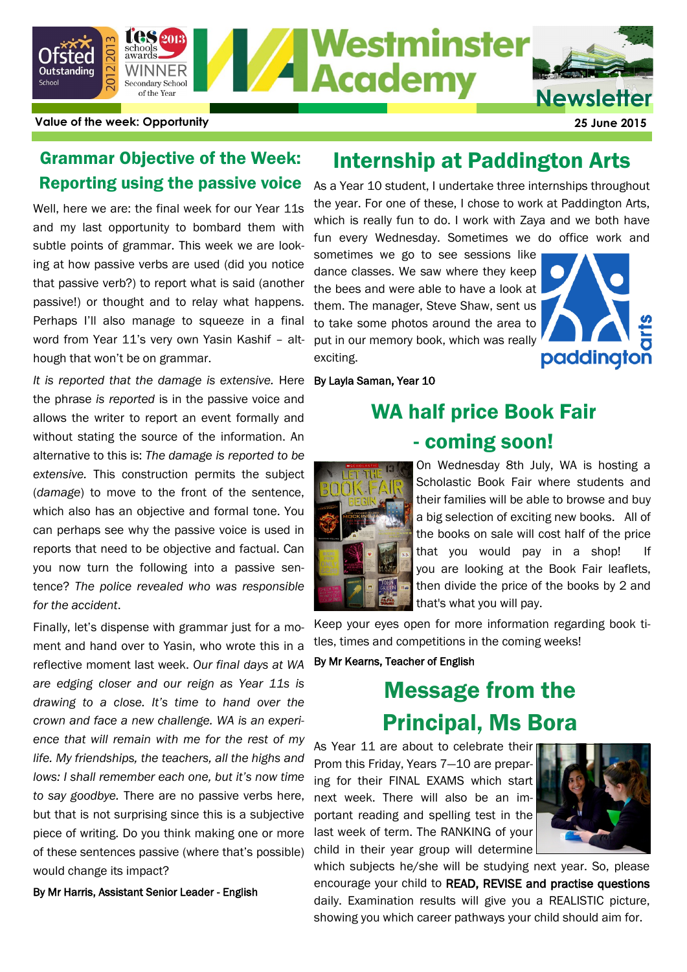

**Value of the week: Opportunity 25 June 2015**

### Grammar Objective of the Week: Reporting using the passive voice

Well, here we are: the final week for our Year 11s and my last opportunity to bombard them with subtle points of grammar. This week we are looking at how passive verbs are used (did you notice that passive verb?) to report what is said (another passive!) or thought and to relay what happens. Perhaps I'll also manage to squeeze in a final word from Year 11's very own Yasin Kashif – although that won't be on grammar.

It is reported that the damage is extensive. Here By Layla Saman, Year 10 the phrase *is reported* is in the passive voice and allows the writer to report an event formally and without stating the source of the information. An alternative to this is: *The damage is reported to be extensive.* This construction permits the subject (*damage*) to move to the front of the sentence, which also has an objective and formal tone. You can perhaps see why the passive voice is used in reports that need to be objective and factual. Can you now turn the following into a passive sentence? *The police revealed who was responsible for the accident*.

Finally, let's dispense with grammar just for a moment and hand over to Yasin, who wrote this in a reflective moment last week. *Our final days at WA are edging closer and our reign as Year 11s is drawing to a close. It's time to hand over the crown and face a new challenge. WA is an experience that will remain with me for the rest of my life. My friendships, the teachers, all the highs and lows: I shall remember each one, but it's now time to say goodbye.* There are no passive verbs here, but that is not surprising since this is a subjective piece of writing. Do you think making one or more of these sentences passive (where that's possible) would change its impact?

By Mr Harris, Assistant Senior Leader - English

### Internship at Paddington Arts

As a Year 10 student, I undertake three internships throughout the year. For one of these, I chose to work at Paddington Arts, which is really fun to do. I work with Zaya and we both have fun every Wednesday. Sometimes we do office work and

sometimes we go to see sessions like dance classes. We saw where they keep the bees and were able to have a look at them. The manager, Steve Shaw, sent us to take some photos around the area to put in our memory book, which was really exciting.



## WA half price Book Fair - coming soon!



On Wednesday 8th July, WA is hosting a Scholastic Book Fair where students and their families will be able to browse and buy a big selection of exciting new books. All of the books on sale will cost half of the price that you would pay in a shop! If you are looking at the Book Fair leaflets, then divide the price of the books by 2 and that's what you will pay.

Keep your eyes open for more information regarding book titles, times and competitions in the coming weeks!

By Mr Kearns, Teacher of English

# Message from the Principal, Ms Bora

As Year 11 are about to celebrate their Prom this Friday, Years 7—10 are preparing for their FINAL EXAMS which start next week. There will also be an important reading and spelling test in the last week of term. The RANKING of your child in their year group will determine



which subjects he/she will be studying next year. So, please encourage your child to READ, REVISE and practise questions daily. Examination results will give you a REALISTIC picture, showing you which career pathways your child should aim for.